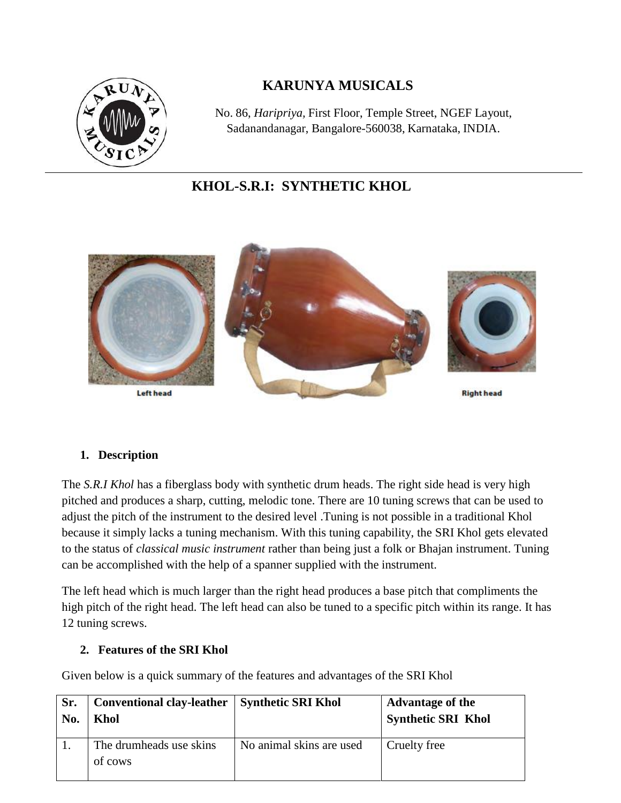

# **KARUNYA MUSICALS**

No. 86, *Haripriya,* First Floor, Temple Street, NGEF Layout, Sadanandanagar, Bangalore-560038, Karnataka, INDIA.

# **KHOL-S.R.I: SYNTHETIC KHOL**



#### **1. Description**

The *S.R.I Khol* has a fiberglass body with synthetic drum heads. The right side head is very high pitched and produces a sharp, cutting, melodic tone. There are 10 tuning screws that can be used to adjust the pitch of the instrument to the desired level .Tuning is not possible in a traditional Khol because it simply lacks a tuning mechanism. With this tuning capability, the SRI Khol gets elevated to the status of *classical music instrument* rather than being just a folk or Bhajan instrument. Tuning can be accomplished with the help of a spanner supplied with the instrument.

The left head which is much larger than the right head produces a base pitch that compliments the high pitch of the right head. The left head can also be tuned to a specific pitch within its range. It has 12 tuning screws.

#### **2. Features of the SRI Khol**

Given below is a quick summary of the features and advantages of the SRI Khol

| Sr. | <b>Conventional clay-leather</b>   | <b>Synthetic SRI Khol</b> | <b>Advantage of the</b>   |
|-----|------------------------------------|---------------------------|---------------------------|
| No. | Khol                               |                           | <b>Synthetic SRI Khol</b> |
|     | The drumheads use skins<br>of cows | No animal skins are used  | Cruelty free              |